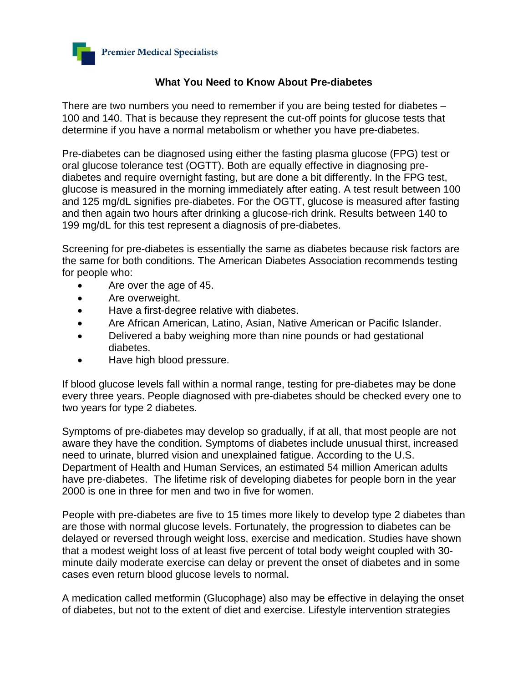

## **What You Need to Know About Pre-diabetes**

There are two numbers you need to remember if you are being tested for diabetes – 100 and 140. That is because they represent the cut-off points for glucose tests that determine if you have a normal metabolism or whether you have pre-diabetes.

Pre-diabetes can be diagnosed using either the fasting plasma glucose (FPG) test or oral glucose tolerance test (OGTT). Both are equally effective in diagnosing prediabetes and require overnight fasting, but are done a bit differently. In the FPG test, glucose is measured in the morning immediately after eating. A test result between 100 and 125 mg/dL signifies pre-diabetes. For the OGTT, glucose is measured after fasting and then again two hours after drinking a glucose-rich drink. Results between 140 to 199 mg/dL for this test represent a diagnosis of pre-diabetes.

Screening for pre-diabetes is essentially the same as diabetes because risk factors are the same for both conditions. The American Diabetes Association recommends testing for people who:

- Are over the age of 45.
- Are overweight.
- Have a first-degree relative with diabetes.
- Are African American, Latino, Asian, Native American or Pacific Islander.
- Delivered a baby weighing more than nine pounds or had gestational diabetes.
- Have high blood pressure.

If blood glucose levels fall within a normal range, testing for pre-diabetes may be done every three years. People diagnosed with pre-diabetes should be checked every one to two years for type 2 diabetes.

Symptoms of pre-diabetes may develop so gradually, if at all, that most people are not aware they have the condition. Symptoms of diabetes include unusual thirst, increased need to urinate, blurred vision and unexplained fatigue. According to the U.S. Department of Health and Human Services, an estimated 54 million American adults have pre-diabetes. The lifetime risk of developing diabetes for people born in the year 2000 is one in three for men and two in five for women.

People with pre-diabetes are five to 15 times more likely to develop type 2 diabetes than are those with normal glucose levels. Fortunately, the progression to diabetes can be delayed or reversed through weight loss, exercise and medication. Studies have shown that a modest weight loss of at least five percent of total body weight coupled with 30 minute daily moderate exercise can delay or prevent the onset of diabetes and in some cases even return blood glucose levels to normal.

A medication called metformin (Glucophage) also may be effective in delaying the onset of diabetes, but not to the extent of diet and exercise. Lifestyle intervention strategies